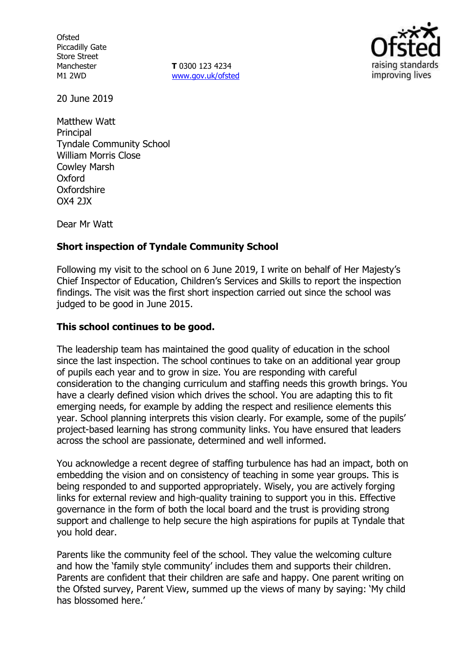**Ofsted** Piccadilly Gate Store Street Manchester M1 2WD

**T** 0300 123 4234 www.gov.uk/ofsted



20 June 2019

Matthew Watt **Principal** Tyndale Community School William Morris Close Cowley Marsh Oxford **Oxfordshire** OX4 2JX

Dear Mr Watt

# **Short inspection of Tyndale Community School**

Following my visit to the school on 6 June 2019, I write on behalf of Her Majesty's Chief Inspector of Education, Children's Services and Skills to report the inspection findings. The visit was the first short inspection carried out since the school was judged to be good in June 2015.

# **This school continues to be good.**

The leadership team has maintained the good quality of education in the school since the last inspection. The school continues to take on an additional year group of pupils each year and to grow in size. You are responding with careful consideration to the changing curriculum and staffing needs this growth brings. You have a clearly defined vision which drives the school. You are adapting this to fit emerging needs, for example by adding the respect and resilience elements this year. School planning interprets this vision clearly. For example, some of the pupils' project-based learning has strong community links. You have ensured that leaders across the school are passionate, determined and well informed.

You acknowledge a recent degree of staffing turbulence has had an impact, both on embedding the vision and on consistency of teaching in some year groups. This is being responded to and supported appropriately. Wisely, you are actively forging links for external review and high-quality training to support you in this. Effective governance in the form of both the local board and the trust is providing strong support and challenge to help secure the high aspirations for pupils at Tyndale that you hold dear.

Parents like the community feel of the school. They value the welcoming culture and how the 'family style community' includes them and supports their children. Parents are confident that their children are safe and happy. One parent writing on the Ofsted survey, Parent View, summed up the views of many by saying: 'My child has blossomed here.'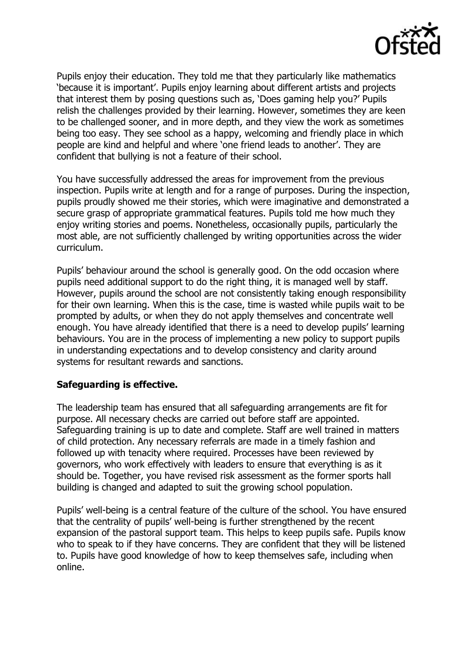

Pupils enjoy their education. They told me that they particularly like mathematics 'because it is important'. Pupils enjoy learning about different artists and projects that interest them by posing questions such as, 'Does gaming help you?' Pupils relish the challenges provided by their learning. However, sometimes they are keen to be challenged sooner, and in more depth, and they view the work as sometimes being too easy. They see school as a happy, welcoming and friendly place in which people are kind and helpful and where 'one friend leads to another'. They are confident that bullying is not a feature of their school.

You have successfully addressed the areas for improvement from the previous inspection. Pupils write at length and for a range of purposes. During the inspection, pupils proudly showed me their stories, which were imaginative and demonstrated a secure grasp of appropriate grammatical features. Pupils told me how much they enjoy writing stories and poems. Nonetheless, occasionally pupils, particularly the most able, are not sufficiently challenged by writing opportunities across the wider curriculum.

Pupils' behaviour around the school is generally good. On the odd occasion where pupils need additional support to do the right thing, it is managed well by staff. However, pupils around the school are not consistently taking enough responsibility for their own learning. When this is the case, time is wasted while pupils wait to be prompted by adults, or when they do not apply themselves and concentrate well enough. You have already identified that there is a need to develop pupils' learning behaviours. You are in the process of implementing a new policy to support pupils in understanding expectations and to develop consistency and clarity around systems for resultant rewards and sanctions.

### **Safeguarding is effective.**

The leadership team has ensured that all safeguarding arrangements are fit for purpose. All necessary checks are carried out before staff are appointed. Safeguarding training is up to date and complete. Staff are well trained in matters of child protection. Any necessary referrals are made in a timely fashion and followed up with tenacity where required. Processes have been reviewed by governors, who work effectively with leaders to ensure that everything is as it should be. Together, you have revised risk assessment as the former sports hall building is changed and adapted to suit the growing school population.

Pupils' well-being is a central feature of the culture of the school. You have ensured that the centrality of pupils' well-being is further strengthened by the recent expansion of the pastoral support team. This helps to keep pupils safe. Pupils know who to speak to if they have concerns. They are confident that they will be listened to. Pupils have good knowledge of how to keep themselves safe, including when online.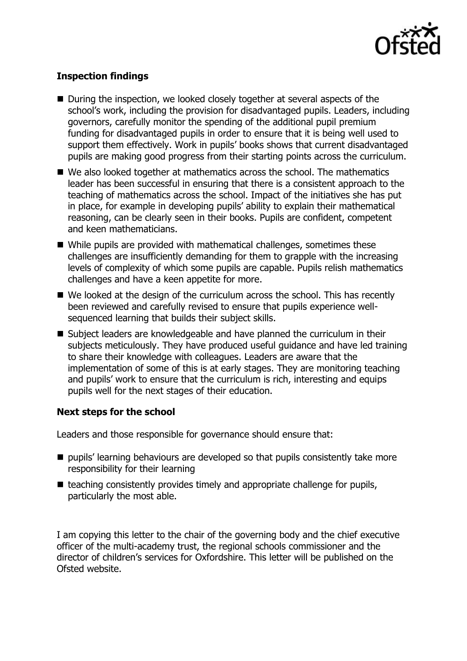

# **Inspection findings**

- During the inspection, we looked closely together at several aspects of the school's work, including the provision for disadvantaged pupils. Leaders, including governors, carefully monitor the spending of the additional pupil premium funding for disadvantaged pupils in order to ensure that it is being well used to support them effectively. Work in pupils' books shows that current disadvantaged pupils are making good progress from their starting points across the curriculum.
- We also looked together at mathematics across the school. The mathematics leader has been successful in ensuring that there is a consistent approach to the teaching of mathematics across the school. Impact of the initiatives she has put in place, for example in developing pupils' ability to explain their mathematical reasoning, can be clearly seen in their books. Pupils are confident, competent and keen mathematicians.
- While pupils are provided with mathematical challenges, sometimes these challenges are insufficiently demanding for them to grapple with the increasing levels of complexity of which some pupils are capable. Pupils relish mathematics challenges and have a keen appetite for more.
- We looked at the design of the curriculum across the school. This has recently been reviewed and carefully revised to ensure that pupils experience wellsequenced learning that builds their subject skills.
- Subject leaders are knowledgeable and have planned the curriculum in their subjects meticulously. They have produced useful guidance and have led training to share their knowledge with colleagues. Leaders are aware that the implementation of some of this is at early stages. They are monitoring teaching and pupils' work to ensure that the curriculum is rich, interesting and equips pupils well for the next stages of their education.

### **Next steps for the school**

Leaders and those responsible for governance should ensure that:

- pupils' learning behaviours are developed so that pupils consistently take more responsibility for their learning
- teaching consistently provides timely and appropriate challenge for pupils, particularly the most able.

I am copying this letter to the chair of the governing body and the chief executive officer of the multi-academy trust, the regional schools commissioner and the director of children's services for Oxfordshire. This letter will be published on the Ofsted website.